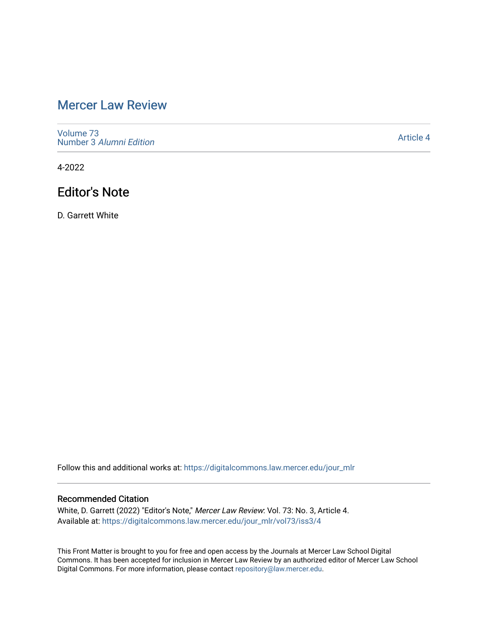## [Mercer Law Review](https://digitalcommons.law.mercer.edu/jour_mlr)

[Volume 73](https://digitalcommons.law.mercer.edu/jour_mlr/vol73) Number 3 [Alumni Edition](https://digitalcommons.law.mercer.edu/jour_mlr/vol73/iss3) 

[Article 4](https://digitalcommons.law.mercer.edu/jour_mlr/vol73/iss3/4) 

4-2022

## Editor's Note

D. Garrett White

Follow this and additional works at: [https://digitalcommons.law.mercer.edu/jour\\_mlr](https://digitalcommons.law.mercer.edu/jour_mlr?utm_source=digitalcommons.law.mercer.edu%2Fjour_mlr%2Fvol73%2Fiss3%2F4&utm_medium=PDF&utm_campaign=PDFCoverPages)

## Recommended Citation

White, D. Garrett (2022) "Editor's Note," Mercer Law Review: Vol. 73: No. 3, Article 4. Available at: [https://digitalcommons.law.mercer.edu/jour\\_mlr/vol73/iss3/4](https://digitalcommons.law.mercer.edu/jour_mlr/vol73/iss3/4?utm_source=digitalcommons.law.mercer.edu%2Fjour_mlr%2Fvol73%2Fiss3%2F4&utm_medium=PDF&utm_campaign=PDFCoverPages)

This Front Matter is brought to you for free and open access by the Journals at Mercer Law School Digital Commons. It has been accepted for inclusion in Mercer Law Review by an authorized editor of Mercer Law School Digital Commons. For more information, please contact [repository@law.mercer.edu](mailto:repository@law.mercer.edu).